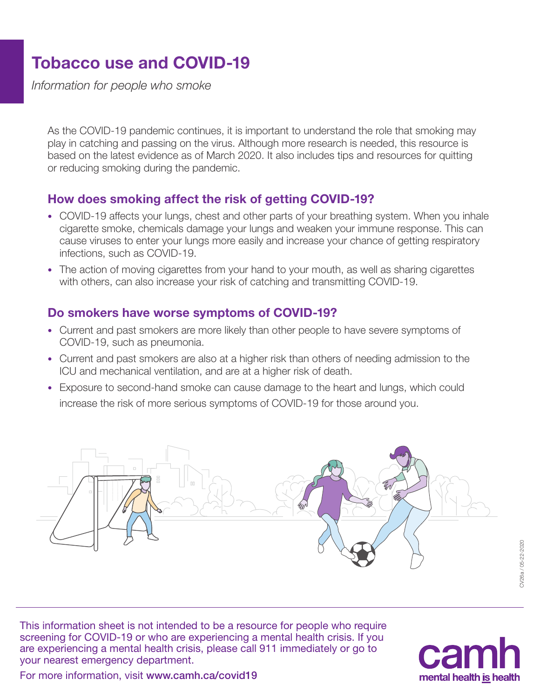## Tobacco use and COVID-19

*Information for people who smoke*

As the COVID-19 pandemic continues, it is important to understand the role that smoking may play in catching and passing on the virus. Although more research is needed, this resource is based on the latest evidence as of March 2020. It also includes tips and resources for quitting or reducing smoking during the pandemic.

#### How does smoking affect the risk of getting COVID-19?

- COVID-19 affects your lungs, chest and other parts of your breathing system. When you inhale cigarette smoke, chemicals damage your lungs and weaken your immune response. This can cause viruses to enter your lungs more easily and increase your chance of getting respiratory infections, such as COVID-19.
- The action of moving cigarettes from your hand to your mouth, as well as sharing cigarettes with others, can also increase your risk of catching and transmitting COVID-19.

#### Do smokers have worse symptoms of COVID-19?

- Current and past smokers are more likely than other people to have severe symptoms of COVID-19, such as pneumonia.
- Current and past smokers are also at a higher risk than others of needing admission to the ICU and mechanical ventilation, and are at a higher risk of death.
- Exposure to second-hand smoke can cause damage to the heart and lungs, which could increase the risk of more serious symptoms of COVID-19 for those around you.



This information sheet is not intended to be a resource for people who require screening for COVID-19 or who are experiencing a mental health crisis. If you are experiencing a mental health crisis, please call 911 immediately or go to your nearest emergency department.



For more information, visit www.camh.ca/covid19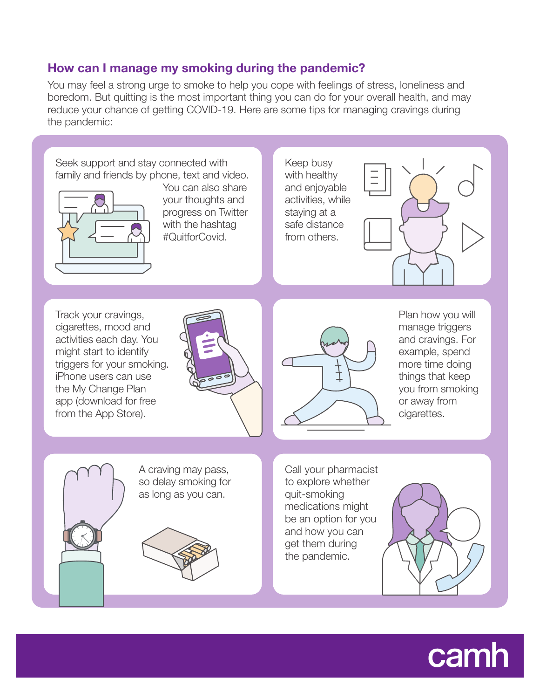#### How can I manage my smoking during the pandemic?

You may feel a strong urge to smoke to help you cope with feelings of stress, loneliness and boredom. But quitting is the most important thing you can do for your overall health, and may reduce your chance of getting COVID-19. Here are some tips for managing cravings during the pandemic:



# camh